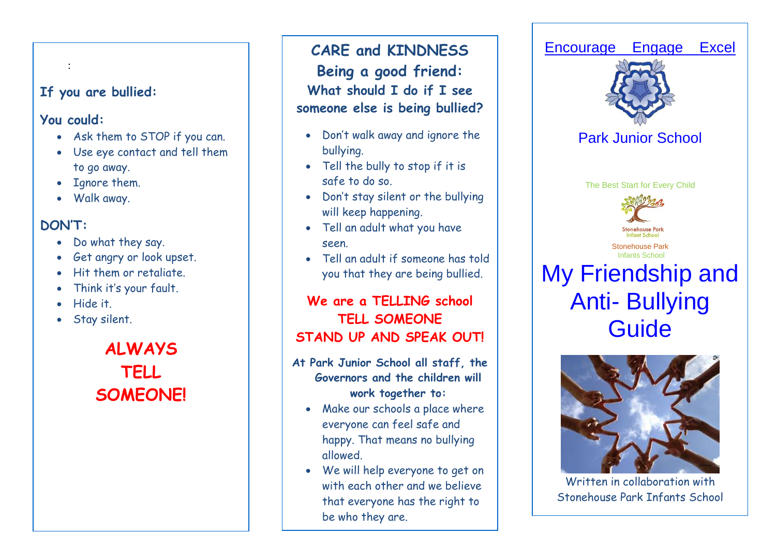### **If you are bullied:**

#### **You could:**

:

- Ask them to STOP if you can.
- Use eye contact and tell them to go away.
- Ignore them.
- Walk away.

## **DON'T:**

- Do what they say.
- Get angry or look upset.
- Hit them or retaliate.
- Think it's your fault.
- Hide it.
- Stay silent.

**ALWAYS TELL SOMEONE!**

**CARE and KINDNESS Being a good friend: What should I do if I see someone else is being bullied?**

- Don't walk away and ignore the bullying.
- Tell the bully to stop if it is safe to do so.
- Don't stay silent or the bullying will keep happening.
- Tell an adult what you have seen.
- Tell an adult if someone has told you that they are being bullied.

## **We are a TELLING school TELL SOMEONE STAND UP AND SPEAK OUT!**

#### **At Park Junior School all staff, the Governors and the children will work together to:**

- Make our schools a place where everyone can feel safe and happy. That means no bullying allowed.
- We will help everyone to get on with each other and we believe that everyone has the right to be who they are.



Written in collaboration with Stonehouse Park Infants School